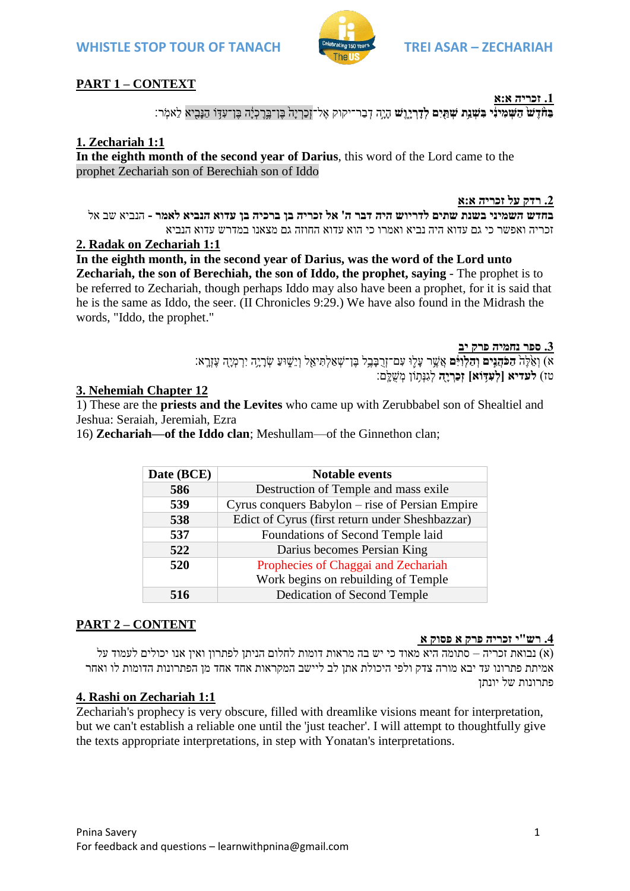

## **PART 1 – CONTEXT**

**.1 זכריה א:א**

**ָּבַּח הַעֲמִינִי בִּשְׁנֵת שְׁתַּיִם לְדִרִיוֵשׁ** הִיְה דְבַר־יקוק אֱל־זְכַרְיה בֵּו־כָּיֹה בֵּו־עָדָּוֹ הַנִּבִיא לֵאמֹר

## **1. Zechariah 1:1**

**In the eighth month of the second year of Darius**, this word of the Lord came to the prophet Zechariah son of Berechiah son of Iddo

**.2 רדק על זכריה א:א**

**בחדש השמיני בשנת שתים לדריוש היה דבר ה' אל זכריה בן ברכיה בן עדוא הנביא לאמר -** הנביא שב אל זכריה ואפשר כי גם עדוא היה נביא ואמרו כי הוא עדוא החוזה גם מצאנו במדרש עדוא הנביא

#### **2. Radak on Zechariah 1:1**

**In the eighth month, in the second year of Darius, was the word of the Lord unto Zechariah, the son of Berechiah, the son of Iddo, the prophet, saying** - The prophet is to be referred to Zechariah, though perhaps Iddo may also have been a prophet, for it is said that he is the same as Iddo, the seer. (II Chronicles 9:29.) We have also found in the Midrash the words, "Iddo, the prophet."

**.3 ספר נחמיה פרק יב**

א) וְאֵ<sup>ׂ</sup>לֶּה<del>ֹ הַכֹּהֲגִים</del> וְּ<del>הַלְוַ</del>ְּּׂםּ אֲשֶׁר עָלָוּ עִם־זְרֻבָּבֶל בֶּן־שָׁאַלְתִּיאָל וְיֵשֶׁוּעַ שְׂרָיָה יִרְמְיָה עֶזֶרֶא: טז( **לעדיא ]לְּׁעִ דַ֥ ֹוא[ זְּׁכַּרְּׁ יָ ַּ֖ה** לְגִנְתּ֥ ֹון מְ שֻלָֹּֽ ם׃

#### **3. Nehemiah Chapter 12**

1) These are the **priests and the Levites** who came up with Zerubbabel son of Shealtiel and Jeshua: Seraiah, Jeremiah, Ezra

16) **Zechariah—of the Iddo clan**; Meshullam—of the Ginnethon clan;

| Date (BCE) | <b>Notable events</b>                           |
|------------|-------------------------------------------------|
| 586        | Destruction of Temple and mass exile            |
| 539        | Cyrus conquers Babylon – rise of Persian Empire |
| 538        | Edict of Cyrus (first return under Sheshbazzar) |
| 537        | Foundations of Second Temple laid               |
| 522        | Darius becomes Persian King                     |
| 520        | Prophecies of Chaggai and Zechariah             |
|            | Work begins on rebuilding of Temple             |
| 516        | Dedication of Second Temple                     |

# **PART 2 – CONTENT**

#### **.4 רש"י זכריה פרק א פסוק א**

לא) נבואת זכריה – סתומה היא מאוד כי יש בה מראות דומות לחלום הניתן לפתרון ואין אנו יכולים לעמוד על אמיתת פתרונו עד יבא מורה צדק ולפי היכולת אתן לב ליישב המקראות אחד אחד מן הפתרונות הדומות לו ואחר פתרונות של יונתן

#### **4. Rashi on Zechariah 1:1**

Zechariah's prophecy is very obscure, filled with dreamlike visions meant for interpretation, but we can't establish a reliable one until the 'just teacher'. I will attempt to thoughtfully give the texts appropriate interpretations, in step with Yonatan's interpretations.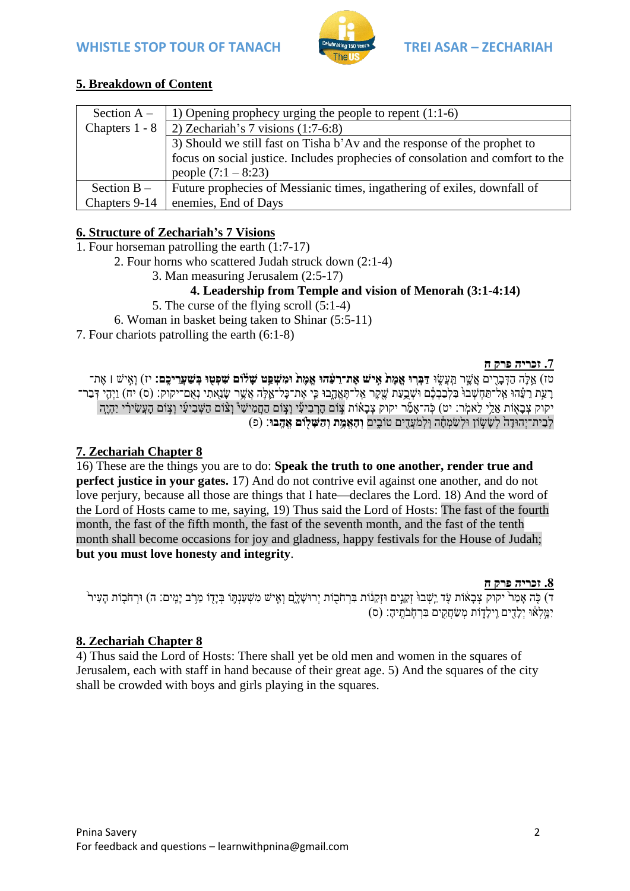

# **5. Breakdown of Content**

| Section $A -$  | 1) Opening prophecy urging the people to repent $(1:1-6)$                      |
|----------------|--------------------------------------------------------------------------------|
| Chapters 1 - 8 | 2) Zechariah's 7 visions $(1:7-6:8)$                                           |
|                | 3) Should we still fast on Tisha b'Av and the response of the prophet to       |
|                | focus on social justice. Includes prophecies of consolation and comfort to the |
|                | people $(7:1 - 8:23)$                                                          |
| Section $B -$  | Future prophecies of Messianic times, ingathering of exiles, downfall of       |
| Chapters 9-14  | enemies, End of Days                                                           |

# **6. Structure of Zechariah's 7 Visions**

- 1. Four horseman patrolling the earth (1:7-17)
	- 2. Four horns who scattered Judah struck down (2:1-4)
		- 3. Man measuring Jerusalem (2:5-17)
			- **4. Leadership from Temple and vision of Menorah (3:1-4:14)**
		- 5. The curse of the flying scroll (5:1-4)
	- 6. Woman in basket being taken to Shinar (5:5-11)
- 7. Four chariots patrolling the earth (6:1-8)

#### **.7 זכריה פרק ח**

טז) אֱלֶה הַדְּבָרִים אֲשֶׁר תַּעֲשֶׂוּ דַּבְּרוּ **אֵמֶת אֵישׁ אֵת־רֵעָּׁהוּ אֵמֵת וּמִשִׁפֵּט שַׁלֹוּם שִׁפִטוּ בִּשַׁעַרִיכֵם:** יז) וְאֵישׁ | אֵת־ ָרַעֲת רֵעָּ֫הוּ אֲל־תַּחָשְׁבוּ בִּלְבַבְבֶ֫ם וּשֶׁבֱעַת שֵׁקֵר אֲל־תֵּאֲהָבוּ כִּי אֶת־כַּל־אֱלֶּה אֲשֶׁר שַׂנֵאתִי נָאָם־יקוק: (ס) יח) וַיְהֵי דְּבַר־ יקוק צְבָאָוֹת אֵלֵי לֵאמְר: יט) כְּה־אָמֵۢר יקוק צְבָאוֹת צְוֹם הָרְבִיעִי וְצְוֹם הַחֲמִישִׁי ּוְצֹוֹם הַשְּׁבִיעִי וְצְוֹם הָעֲשִׂירִי יִהְיֶה לְבֵית־יְהּודָּ ה֙ לְשָּ שֶּ֣ ֹון ּולְשִ מְ חָָּ֔ ה ּוֹֽ לְמ עֲדִ ִ֖ ים טֹובִ ׁ֑ ים **ְּׁו ָהֱאֶַ֥מת ְּׁו ַּה ָשַּ֖לֹום ֱאֶָֽהבּו**׃ )פ(

# **7. Zechariah Chapter 8**

16) These are the things you are to do: **Speak the truth to one another, render true and perfect justice in your gates.** 17) And do not contrive evil against one another, and do not love perjury, because all those are things that I hate—declares the Lord. 18) And the word of the Lord of Hosts came to me, saying, 19) Thus said the Lord of Hosts: The fast of the fourth month, the fast of the fifth month, the fast of the seventh month, and the fast of the tenth month shall become occasions for joy and gladness, happy festivals for the House of Judah; **but you must love honesty and integrity**.

#### **.8 זכריה פרק ח**

ד) כְּה אֲמֵרֹ יקוק צְבָאָׂוֹת עָד יֵשְׁבוּ זְקֶנָים וּזָקֶנִוֹת בְּרְחֹבְוֹת יִרוּשָׁלֵם וְאֵישׁ מְשִׁעֲנְתֶּו בְּיַדָּו מֵרֹֽב יַמֵּים: ה) וּרְחֹבְוֹת הַעִּיר יִמֵּלְאָ*ׁוּ יִלְדִים וֵילַדְוֹת מְשַׂחֲקִים בְּרְ*חָבֹתֵיהָ: (ס)

# **8. Zechariah Chapter 8**

4) Thus said the Lord of Hosts: There shall yet be old men and women in the squares of Jerusalem, each with staff in hand because of their great age. 5) And the squares of the city shall be crowded with boys and girls playing in the squares.